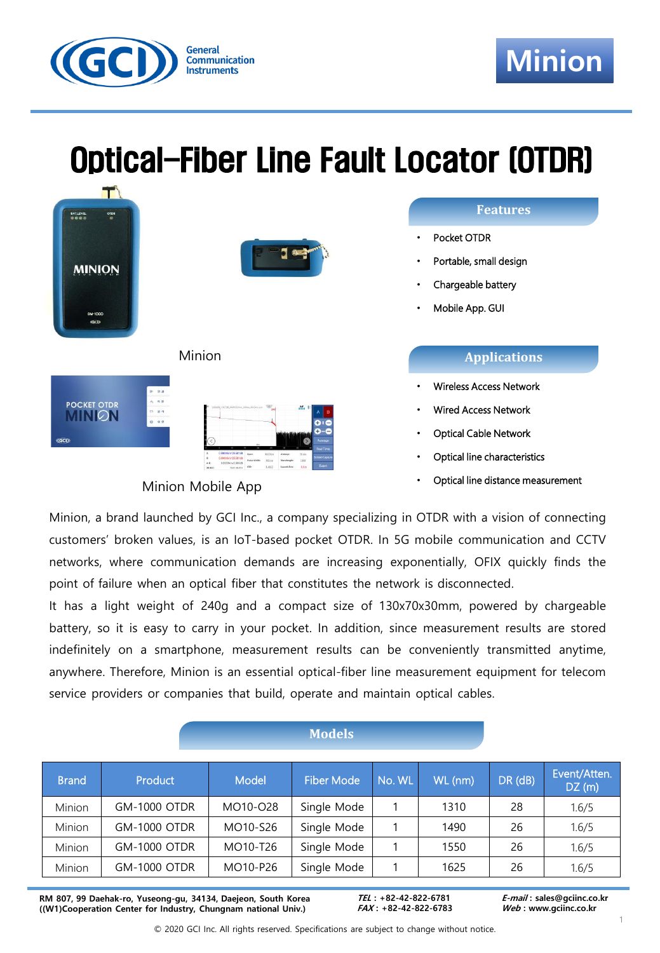

# Optical-Fiber Line Fault Locator (OTDR)



Minion Mobile App

### **Applications**

- Wireless Access Network
- Wired Access Network
- Optical Cable Network
- Optical line characteristics
- Optical line distance measurement

Minion, a brand launched by GCI Inc., a company specializing in OTDR with a vision of connecting customers' broken values, is an IoT-based pocket OTDR. In 5G mobile communication and CCTV networks, where communication demands are increasing exponentially, OFIX quickly finds the point of failure when an optical fiber that constitutes the network is disconnected.

It has a light weight of 240g and a compact size of 130x70x30mm, powered by chargeable battery, so it is easy to carry in your pocket. In addition, since measurement results are stored indefinitely on a smartphone, measurement results can be conveniently transmitted anytime, anywhere. Therefore, Minion is an essential optical-fiber line measurement equipment for telecom service providers or companies that build, operate and maintain optical cables.

| <b>Models</b> |                     |          |                   |        |         |               |                       |
|---------------|---------------------|----------|-------------------|--------|---------|---------------|-----------------------|
| <b>Brand</b>  | <b>Product</b>      | Model    | <b>Fiber Mode</b> | No. WL | WL (nm) | $DR$ ( $dB$ ) | Event/Atten.<br>DZ(m) |
| Minion        | <b>GM-1000 OTDR</b> | MO10-028 | Single Mode       |        | 1310    | 28            | 1.6/5                 |
| Minion        | <b>GM-1000 OTDR</b> | MO10-S26 | Single Mode       |        | 1490    | 26            | 1.6/5                 |
| Minion        | <b>GM-1000 OTDR</b> | MO10-T26 | Single Mode       |        | 1550    | 26            | 1.6/5                 |
| Minion        | <b>GM-1000 OTDR</b> | MO10-P26 | Single Mode       |        | 1625    | 26            | 1.6/5                 |

**RM 807, 99 Daehak-ro, Yuseong-gu, 34134, Daejeon, South Korea ((W1)Cooperation Center for Industry, Chungnam national Univ.)**

**TEL : +82-42-822-6781 FAX : +82-42-822-6783**  **E-mail : sales@gciinc.co.kr Web : www.gciinc.co.kr**

© 2020 GCI Inc. All rights reserved. Specifications are subject to change without notice.